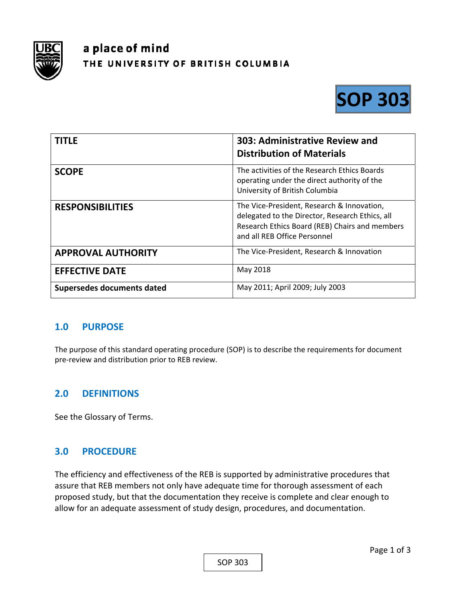

# a place of mind THE UNIVERSITY OF BRITISH COLUMBIA



| <b>TITLE</b>               | 303: Administrative Review and<br><b>Distribution of Materials</b>                                                                                                              |
|----------------------------|---------------------------------------------------------------------------------------------------------------------------------------------------------------------------------|
| <b>SCOPE</b>               | The activities of the Research Ethics Boards<br>operating under the direct authority of the<br>University of British Columbia                                                   |
| <b>RESPONSIBILITIES</b>    | The Vice-President, Research & Innovation,<br>delegated to the Director, Research Ethics, all<br>Research Ethics Board (REB) Chairs and members<br>and all REB Office Personnel |
| <b>APPROVAL AUTHORITY</b>  | The Vice-President, Research & Innovation                                                                                                                                       |
| <b>EFFECTIVE DATE</b>      | May 2018                                                                                                                                                                        |
| Supersedes documents dated | May 2011; April 2009; July 2003                                                                                                                                                 |

## **1.0 PURPOSE**

The purpose of this standard operating procedure (SOP) is to describe the requirements for document pre‐review and distribution prior to REB review.

## **2.0 DEFINITIONS**

See the Glossary of Terms.

## **3.0 PROCEDURE**

The efficiency and effectiveness of the REB is supported by administrative procedures that assure that REB members not only have adequate time for thorough assessment of each proposed study, but that the documentation they receive is complete and clear enough to allow for an adequate assessment of study design, procedures, and documentation.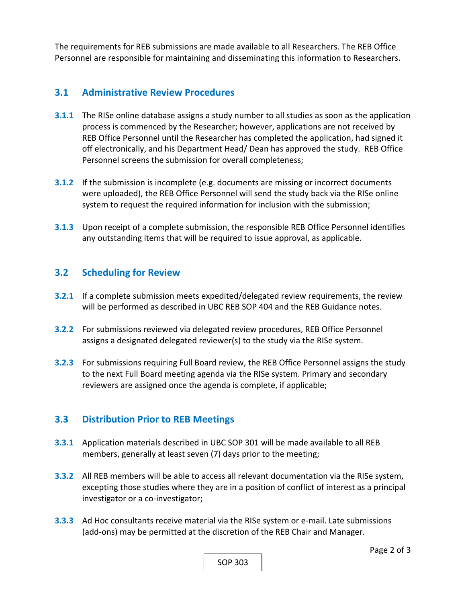The requirements for REB submissions are made available to all Researchers. The REB Office Personnel are responsible for maintaining and disseminating this information to Researchers.

### **3.1 Administrative Review Procedures**

- **3.1.1** The RISe online database assigns a study number to all studies as soon as the application process is commenced by the Researcher; however, applications are not received by REB Office Personnel until the Researcher has completed the application, had signed it off electronically, and his Department Head/ Dean has approved the study. REB Office Personnel screens the submission for overall completeness;
- **3.1.2** If the submission is incomplete (e.g. documents are missing or incorrect documents were uploaded), the REB Office Personnel will send the study back via the RISe online system to request the required information for inclusion with the submission;
- **3.1.3**  Upon receipt of a complete submission, the responsible REB Office Personnel identifies any outstanding items that will be required to issue approval, as applicable.

#### **3.2 Scheduling for Review**

- **3.2.1**  If a complete submission meets expedited/delegated review requirements, the review will be performed as described in UBC REB SOP 404 and the REB Guidance notes.
- **3.2.2**  For submissions reviewed via delegated review procedures, REB Office Personnel assigns a designated delegated reviewer(s) to the study via the RISe system.
- **3.2.3**  For submissions requiring Full Board review, the REB Office Personnel assigns the study to the next Full Board meeting agenda via the RISe system. Primary and secondary reviewers are assigned once the agenda is complete, if applicable;

## **3.3 Distribution Prior to REB Meetings**

- **3.3.1**  Application materials described in UBC SOP 301 will be made available to all REB members, generally at least seven (7) days prior to the meeting;
- **3.3.2**  All REB members will be able to access all relevant documentation via the RISe system, excepting those studies where they are in a position of conflict of interest as a principal investigator or a co-investigator;
- **3.3.3** Ad Hoc consultants receive material via the RISe system or e-mail. Late submissions (add‐ons) may be permitted at the discretion of the REB Chair and Manager.